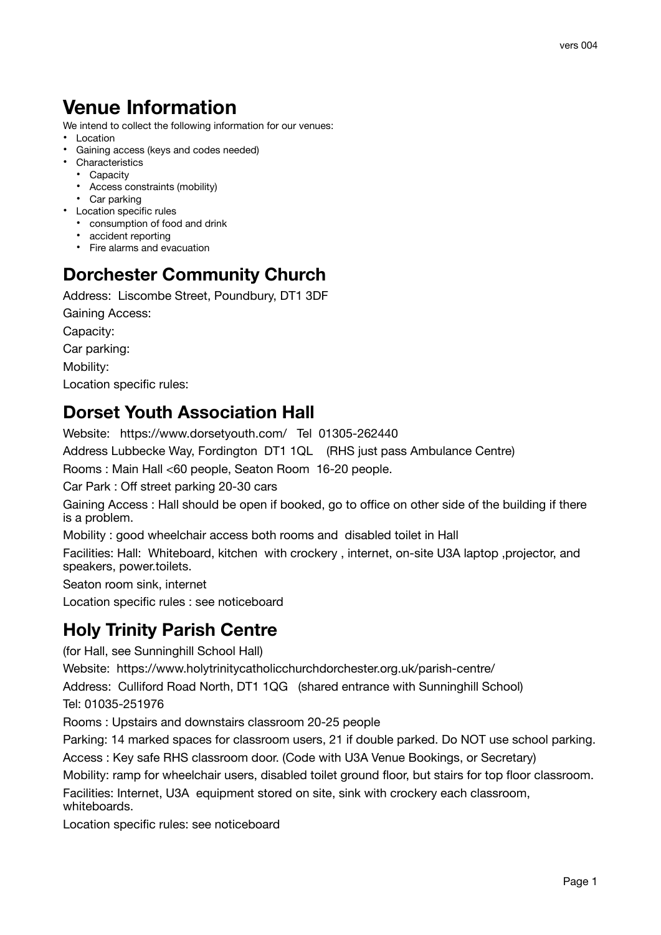# **Venue Information**

We intend to collect the following information for our venues:

- Location
- Gaining access (keys and codes needed)
- Characteristics
	- Capacity
	- Access constraints (mobility)
	- Car parking
- Location specific rules
	- consumption of food and drink
	- accident reporting
	- Fire alarms and evacuation

#### **Dorchester Community Church**

Address: Liscombe Street, Poundbury, DT1 3DF

Gaining Access:

Capacity:

Car parking:

Mobility:

Location specific rules:

#### **Dorset Youth Association Hall**

Website: https://www.dorsetyouth.com/ Tel 01305-262440

Address Lubbecke Way, Fordington DT1 1QL (RHS just pass Ambulance Centre) 

Rooms : Main Hall <60 people, Seaton Room 16-20 people.

Car Park : Off street parking 20-30 cars

Gaining Access : Hall should be open if booked, go to office on other side of the building if there is a problem.

Mobility : good wheelchair access both rooms and disabled toilet in Hall

Facilities: Hall: Whiteboard, kitchen with crockery , internet, on-site U3A laptop ,projector, and speakers, power.toilets.

Seaton room sink, internet

Location specific rules : see noticeboard

#### **Holy Trinity Parish Centre**

(for Hall, see Sunninghill School Hall)

Website: https://www.holytrinitycatholicchurchdorchester.org.uk/parish-centre/

Address: Culliford Road North, DT1 1QG (shared entrance with Sunninghill School)

Tel: 01035-251976

Rooms : Upstairs and downstairs classroom 20-25 people

Parking: 14 marked spaces for classroom users, 21 if double parked. Do NOT use school parking. Access : Key safe RHS classroom door. (Code with U3A Venue Bookings, or Secretary)

Mobility: ramp for wheelchair users, disabled toilet ground floor, but stairs for top floor classroom. Facilities: Internet, U3A equipment stored on site, sink with crockery each classroom,

whiteboards. Location specific rules: see noticeboard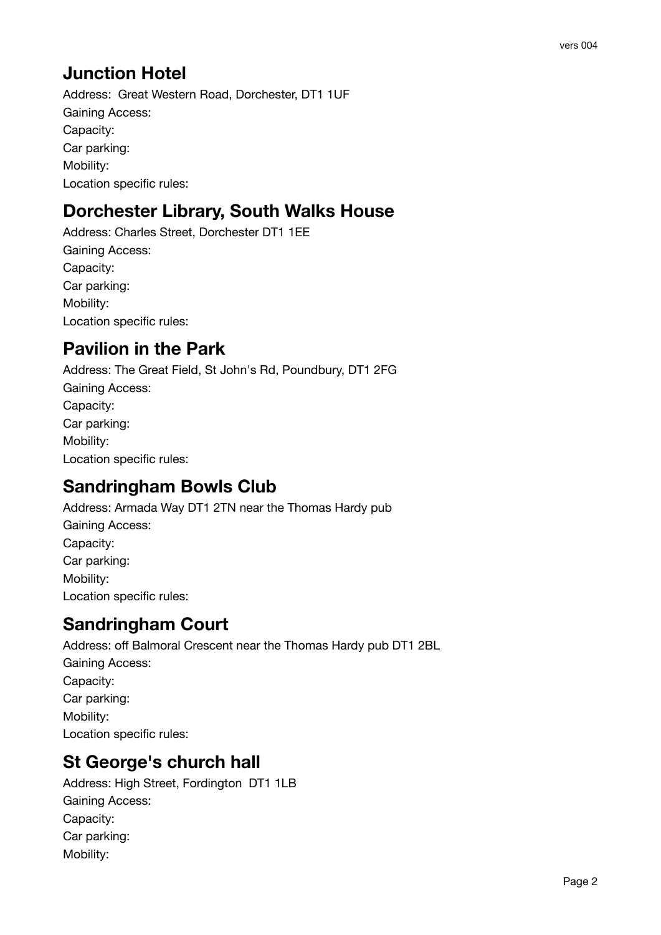## **Junction Hotel**

Address: Great Western Road, Dorchester, DT1 1UF Gaining Access: Capacity: Car parking: Mobility: Location specific rules:

# **Dorchester Library, South Walks House**

Address: Charles Street, Dorchester DT1 1EE Gaining Access: Capacity: Car parking: Mobility: Location specific rules:

## **Pavilion in the Park**

Address: The Great Field, St John's Rd, Poundbury, DT1 2FG Gaining Access: Capacity: Car parking: Mobility: Location specific rules:

### **Sandringham Bowls Club**

Address: Armada Way DT1 2TN near the Thomas Hardy pub Gaining Access: Capacity: Car parking: Mobility: Location specific rules:

### **Sandringham Court**

Address: off Balmoral Crescent near the Thomas Hardy pub DT1 2BL Gaining Access: Capacity: Car parking: Mobility: Location specific rules:

### **St George's church hall**

Address: High Street, Fordington DT1 1LB Gaining Access: Capacity: Car parking: Mobility: